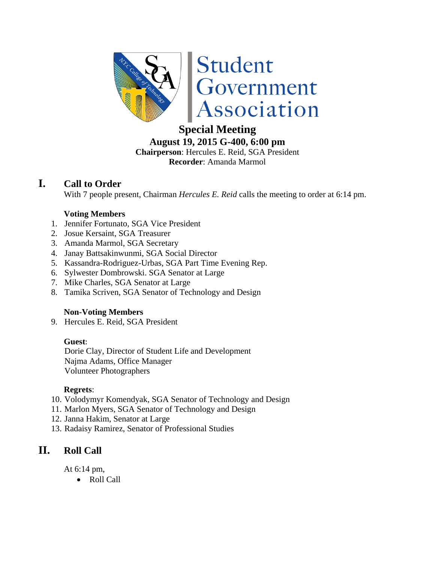

# **Special Meeting**

**August 19, 2015 G-400, 6:00 pm Chairperson**: Hercules E. Reid, SGA President

**Recorder**: Amanda Marmol

## **I. Call to Order**

With 7 people present, Chairman *Hercules E. Reid* calls the meeting to order at 6:14 pm.

#### **Voting Members**

- 1. Jennifer Fortunato, SGA Vice President
- 2. Josue Kersaint, SGA Treasurer
- 3. Amanda Marmol, SGA Secretary
- 4. Janay Battsakinwunmi, SGA Social Director
- 5. Kassandra-Rodriguez-Urbas, SGA Part Time Evening Rep.
- 6. Sylwester Dombrowski. SGA Senator at Large
- 7. Mike Charles, SGA Senator at Large
- 8. Tamika Scriven, SGA Senator of Technology and Design

#### **Non-Voting Members**

9. Hercules E. Reid, SGA President

#### **Guest**:

Dorie Clay, Director of Student Life and Development Najma Adams, Office Manager Volunteer Photographers

#### **Regrets**:

- 10. Volodymyr Komendyak, SGA Senator of Technology and Design
- 11. Marlon Myers, SGA Senator of Technology and Design
- 12. Janna Hakim, Senator at Large
- 13. Radaisy Ramirez, Senator of Professional Studies

## **II. Roll Call**

At 6:14 pm,

Roll Call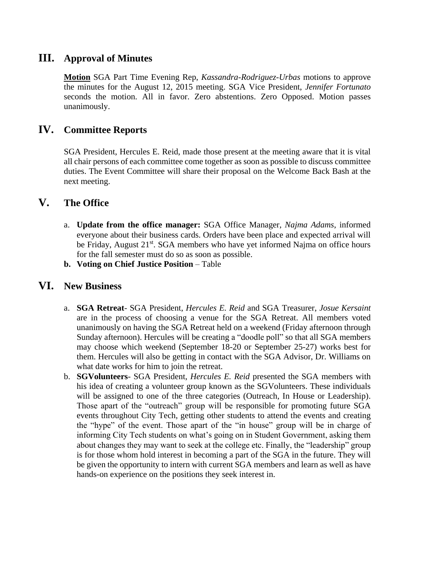### **III. Approval of Minutes**

**Motion** SGA Part Time Evening Rep, *Kassandra-Rodriguez-Urbas* motions to approve the minutes for the August 12, 2015 meeting. SGA Vice President, *Jennifer Fortunato* seconds the motion. All in favor. Zero abstentions. Zero Opposed. Motion passes unanimously.

## **IV. Committee Reports**

SGA President, Hercules E. Reid, made those present at the meeting aware that it is vital all chair persons of each committee come together as soon as possible to discuss committee duties. The Event Committee will share their proposal on the Welcome Back Bash at the next meeting.

#### **V. The Office**

- a. **Update from the office manager:** SGA Office Manager, *Najma Adams*, informed everyone about their business cards. Orders have been place and expected arrival will be Friday, August 21<sup>st</sup>. SGA members who have yet informed Najma on office hours for the fall semester must do so as soon as possible.
- **b. Voting on Chief Justice Position** Table

#### **VI. New Business**

- a. **SGA Retreat** SGA President, *Hercules E. Reid* and SGA Treasurer, *Josue Kersaint* are in the process of choosing a venue for the SGA Retreat. All members voted unanimously on having the SGA Retreat held on a weekend (Friday afternoon through Sunday afternoon). Hercules will be creating a "doodle poll" so that all SGA members may choose which weekend (September 18-20 or September 25-27) works best for them. Hercules will also be getting in contact with the SGA Advisor, Dr. Williams on what date works for him to join the retreat.
- b. **SGVolunteers** SGA President, *Hercules E. Reid* presented the SGA members with his idea of creating a volunteer group known as the SGVolunteers. These individuals will be assigned to one of the three categories (Outreach, In House or Leadership). Those apart of the "outreach" group will be responsible for promoting future SGA events throughout City Tech, getting other students to attend the events and creating the "hype" of the event. Those apart of the "in house" group will be in charge of informing City Tech students on what's going on in Student Government, asking them about changes they may want to seek at the college etc. Finally, the "leadership" group is for those whom hold interest in becoming a part of the SGA in the future. They will be given the opportunity to intern with current SGA members and learn as well as have hands-on experience on the positions they seek interest in.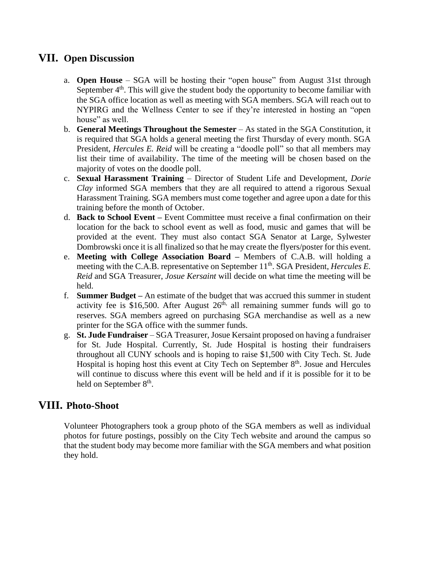## **VII. Open Discussion**

- a. **Open House** SGA will be hosting their "open house" from August 31st through September  $4<sup>th</sup>$ . This will give the student body the opportunity to become familiar with the SGA office location as well as meeting with SGA members. SGA will reach out to NYPIRG and the Wellness Center to see if they're interested in hosting an "open house" as well.
- b. **General Meetings Throughout the Semester** As stated in the SGA Constitution, it is required that SGA holds a general meeting the first Thursday of every month. SGA President, *Hercules E. Reid* will be creating a "doodle poll" so that all members may list their time of availability. The time of the meeting will be chosen based on the majority of votes on the doodle poll.
- c. **Sexual Harassment Training** Director of Student Life and Development, *Dorie Clay* informed SGA members that they are all required to attend a rigorous Sexual Harassment Training. SGA members must come together and agree upon a date for this training before the month of October.
- d. **Back to School Event –** Event Committee must receive a final confirmation on their location for the back to school event as well as food, music and games that will be provided at the event. They must also contact SGA Senator at Large, Sylwester Dombrowski once it is all finalized so that he may create the flyers/poster for this event.
- e. **Meeting with College Association Board –** Members of C.A.B. will holding a meeting with the C.A.B. representative on September 11<sup>th</sup>. SGA President, *Hercules E. Reid* and SGA Treasurer, *Josue Kersaint* will decide on what time the meeting will be held.
- f. **Summer Budget –** An estimate of the budget that was accrued this summer in student activity fee is \$16,500. After August  $26<sup>th</sup>$ , all remaining summer funds will go to reserves. SGA members agreed on purchasing SGA merchandise as well as a new printer for the SGA office with the summer funds.
- g. **St. Jude Fundraiser** SGA Treasurer, Josue Kersaint proposed on having a fundraiser for St. Jude Hospital. Currently, St. Jude Hospital is hosting their fundraisers throughout all CUNY schools and is hoping to raise \$1,500 with City Tech. St. Jude Hospital is hoping host this event at City Tech on September  $8<sup>th</sup>$ . Josue and Hercules will continue to discuss where this event will be held and if it is possible for it to be held on September 8<sup>th</sup>.

## **VIII. Photo-Shoot**

Volunteer Photographers took a group photo of the SGA members as well as individual photos for future postings, possibly on the City Tech website and around the campus so that the student body may become more familiar with the SGA members and what position they hold.